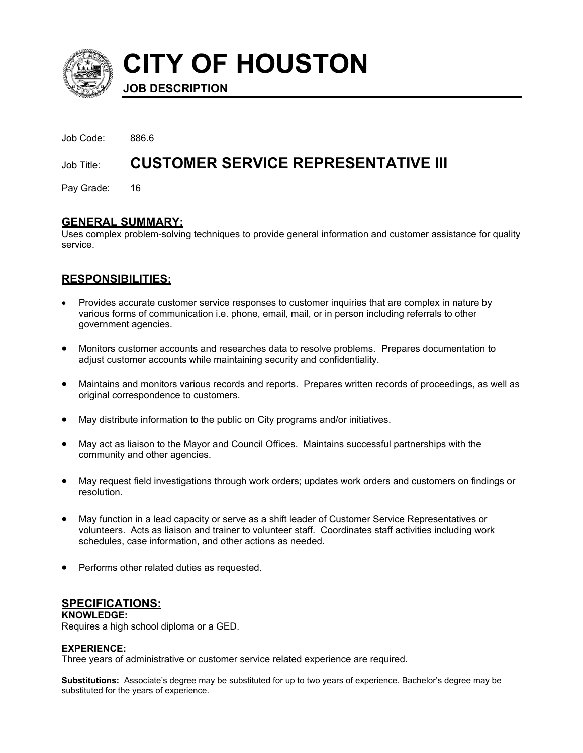

# **CITY OF HOUSTON**

**JOB DESCRIPTION**

| Job Code:     | - 886 6                                        |
|---------------|------------------------------------------------|
|               | Job Title: CUSTOMER SERVICE REPRESENTATIVE III |
| Pay Grade: 16 |                                                |

# **GENERAL SUMMARY:**

Uses complex problem-solving techniques to provide general information and customer assistance for quality service.

# **RESPONSIBILITIES:**

- Provides accurate customer service responses to customer inquiries that are complex in nature by various forms of communication i.e. phone, email, mail, or in person including referrals to other government agencies.
- Monitors customer accounts and researches data to resolve problems. Prepares documentation to adjust customer accounts while maintaining security and confidentiality.
- Maintains and monitors various records and reports. Prepares written records of proceedings, as well as original correspondence to customers.
- May distribute information to the public on City programs and/or initiatives.
- May act as liaison to the Mayor and Council Offices. Maintains successful partnerships with the community and other agencies.
- May request field investigations through work orders; updates work orders and customers on findings or resolution.
- May function in a lead capacity or serve as a shift leader of Customer Service Representatives or volunteers. Acts as liaison and trainer to volunteer staff. Coordinates staff activities including work schedules, case information, and other actions as needed.
- Performs other related duties as requested.

# **SPECIFICATIONS:**

#### **KNOWLEDGE:**

Requires a high school diploma or a GED.

#### **EXPERIENCE:**

Three years of administrative or customer service related experience are required.

**Substitutions:** Associate's degree may be substituted for up to two years of experience. Bachelor's degree may be substituted for the years of experience.